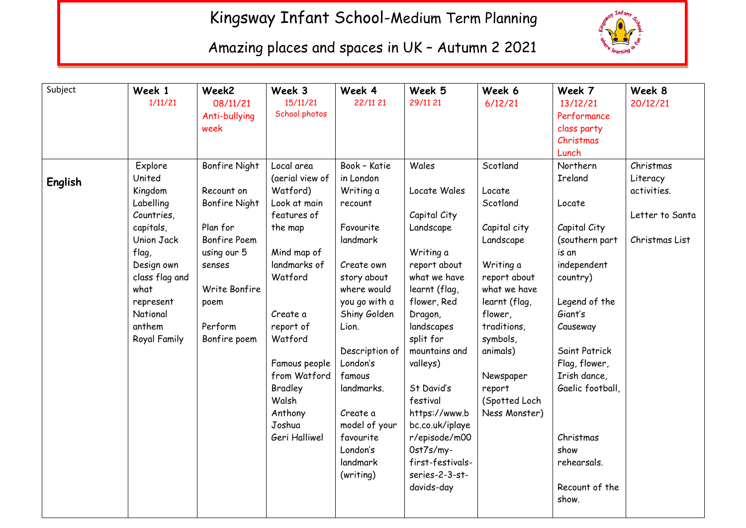## Kingsway Infant School-Medium Term Planning



Amazing places and spaces in UK – Autumn 2 2021

| Subject        | Week 1         | Week2                | Week 3          | Week 4         | Week 5           | Week 6        | Week 7           | Week 8          |
|----------------|----------------|----------------------|-----------------|----------------|------------------|---------------|------------------|-----------------|
|                | 1/11/21        | 08/11/21             | 15/11/21        | 22/11 21       | 29/11 21         | 6/12/21       | 13/12/21         | 20/12/21        |
|                |                | Anti-bullying        | School photos   |                |                  |               | Performance      |                 |
|                |                | week                 |                 |                |                  |               | class party      |                 |
|                |                |                      |                 |                |                  |               | Christmas        |                 |
|                |                |                      |                 |                |                  |               | Lunch            |                 |
|                | Explore        | Bonfire Night        | Local area      | Book - Katie   | Wales            | Scotland      | Northern         | Christmas       |
| <b>English</b> | United         |                      | (aerial view of | in London      |                  |               | <b>Ireland</b>   | Literacy        |
|                | Kingdom        | Recount on           | Watford)        | Writing a      | Locate Wales     | Locate        |                  | activities.     |
|                | Labelling      | <b>Bonfire Night</b> | Look at main    | recount        |                  | Scotland      | Locate           |                 |
|                | Countries,     |                      | features of     |                | Capital City     |               |                  | Letter to Santa |
|                | capitals,      | Plan for             | the map         | Favourite      | Landscape        | Capital city  | Capital City     |                 |
|                | Union Jack     | Bonfire Poem         |                 | landmark       |                  | Landscape     | (southern part   | Christmas List  |
|                | flag,          | using our 5          | Mind map of     |                | Writing a        |               | is an            |                 |
|                | Design own     | senses               | landmarks of    | Create own     | report about     | Writing a     | independent      |                 |
|                | class flag and |                      | Watford         | story about    | what we have     | report about  | country)         |                 |
|                | what           | Write Bonfire        |                 | where would    | learnt (flag,    | what we have  |                  |                 |
|                | represent      | poem                 |                 | you go with a  | flower, Red      | learnt (flag, | Legend of the    |                 |
|                | National       |                      | Create a        | Shiny Golden   | Dragon,          | flower,       | Giant's          |                 |
|                | anthem         | Perform              | report of       | Lion.          | landscapes       | traditions,   | Causeway         |                 |
|                | Royal Family   | Bonfire poem         | Watford         |                | split for        | symbols,      |                  |                 |
|                |                |                      |                 | Description of | mountains and    | animals)      | Saint Patrick    |                 |
|                |                |                      | Famous people   | London's       | valleys)         |               | Flag, flower,    |                 |
|                |                |                      | from Watford    | famous         |                  | Newspaper     | Irish dance,     |                 |
|                |                |                      | Bradley         | landmarks.     | St David's       | report        | Gaelic football, |                 |
|                |                |                      | Walsh           |                | festival         | (Spotted Loch |                  |                 |
|                |                |                      | Anthony         | Create a       | https://www.b    | Ness Monster) |                  |                 |
|                |                |                      | Joshua          | model of your  | bc.co.uk/iplaye  |               |                  |                 |
|                |                |                      | Geri Halliwel   | favourite      | r/episode/m00    |               | Christmas        |                 |
|                |                |                      |                 | London's       | Ost7s/my-        |               | show             |                 |
|                |                |                      |                 | landmark       | first-festivals- |               | rehearsals.      |                 |
|                |                |                      |                 | (writing)      | series-2-3-st-   |               |                  |                 |
|                |                |                      |                 |                | davids-day       |               | Recount of the   |                 |
|                |                |                      |                 |                |                  |               | show.            |                 |
|                |                |                      |                 |                |                  |               |                  |                 |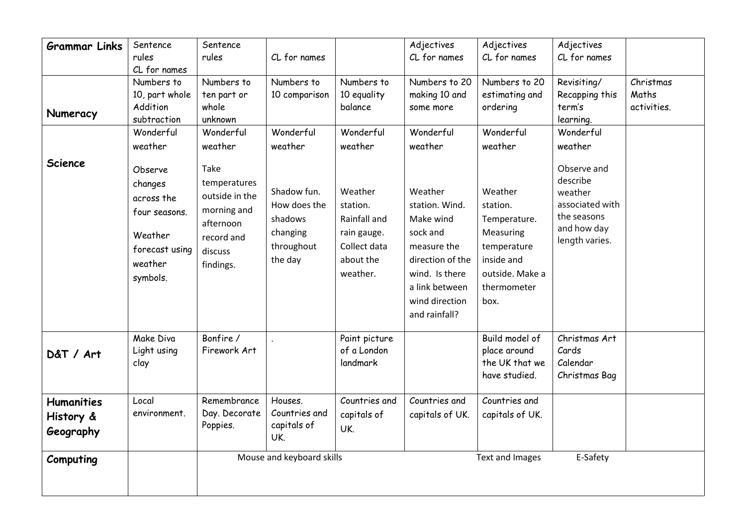| <b>Grammar Links</b>                        | Sentence                                          | Sentence                                              |                                                |                                                                      | Adjectives                                                                                                                      | Adjectives                                                                                       | Adjectives                                            |             |
|---------------------------------------------|---------------------------------------------------|-------------------------------------------------------|------------------------------------------------|----------------------------------------------------------------------|---------------------------------------------------------------------------------------------------------------------------------|--------------------------------------------------------------------------------------------------|-------------------------------------------------------|-------------|
|                                             | rules                                             | rules                                                 | CL for names                                   |                                                                      | CL for names                                                                                                                    | CL for names                                                                                     | CL for names                                          |             |
|                                             | CL for names                                      |                                                       |                                                |                                                                      |                                                                                                                                 |                                                                                                  |                                                       |             |
|                                             | Numbers to                                        | Numbers to                                            | Numbers to                                     | Numbers to                                                           | Numbers to 20                                                                                                                   | Numbers to 20                                                                                    | Revisiting/                                           | Christmas   |
|                                             | 10, part whole                                    | ten part or                                           | 10 comparison                                  | 10 equality                                                          | making 10 and                                                                                                                   | estimating and                                                                                   | Recapping this                                        | Maths       |
| Numeracy                                    | Addition                                          | whole                                                 |                                                | balance                                                              | some more                                                                                                                       | ordering                                                                                         | term's                                                | activities. |
|                                             | subtraction                                       | unknown                                               |                                                |                                                                      |                                                                                                                                 |                                                                                                  | learning.                                             |             |
|                                             | Wonderful                                         | Wonderful                                             | Wonderful                                      | Wonderful                                                            | Wonderful                                                                                                                       | Wonderful                                                                                        | Wonderful                                             |             |
|                                             | weather                                           | weather                                               | weather                                        | weather                                                              | weather                                                                                                                         | weather                                                                                          | weather                                               |             |
| <b>Science</b>                              | Observe<br>changes<br>across the<br>four seasons. | Take<br>temperatures<br>outside in the<br>morning and | Shadow fun.<br>How does the                    | Weather<br>station.                                                  | Weather<br>station. Wind.                                                                                                       | Weather<br>station.                                                                              | Observe and<br>describe<br>weather<br>associated with |             |
|                                             | Weather<br>forecast using<br>weather<br>symbols.  | afternoon<br>record and<br>discuss<br>findings.       | shadows<br>changing<br>throughout<br>the day   | Rainfall and<br>rain gauge.<br>Collect data<br>about the<br>weather. | Make wind<br>sock and<br>measure the<br>direction of the<br>wind. Is there<br>a link between<br>wind direction<br>and rainfall? | Temperature.<br>Measuring<br>temperature<br>inside and<br>outside. Make a<br>thermometer<br>box. | the seasons<br>and how day<br>length varies.          |             |
| D&T / Art                                   | Make Diva<br>Light using<br>clay                  | Bonfire /<br>Firework Art                             |                                                | Paint picture<br>of a London<br>landmark                             |                                                                                                                                 | Build model of<br>place around<br>the UK that we<br>have studied.                                | Christmas Art<br>Cards<br>Calendar<br>Christmas Bag   |             |
| <b>Humanities</b><br>History &<br>Geography | Local<br>environment.                             | Remembrance<br>Day. Decorate<br>Poppies.              | Houses.<br>Countries and<br>capitals of<br>UK. | Countries and<br>capitals of<br>UK.                                  | Countries and<br>capitals of UK.                                                                                                | Countries and<br>capitals of UK.                                                                 |                                                       |             |
| Computing                                   |                                                   |                                                       | Mouse and keyboard skills                      |                                                                      |                                                                                                                                 | <b>Text and Images</b>                                                                           | E-Safety                                              |             |
|                                             |                                                   |                                                       |                                                |                                                                      |                                                                                                                                 |                                                                                                  |                                                       |             |